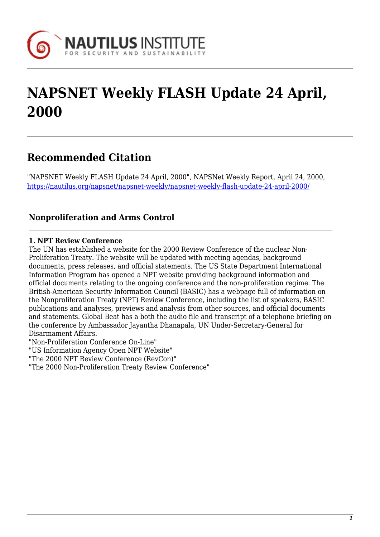

# **NAPSNET Weekly FLASH Update 24 April, 2000**

# **Recommended Citation**

"NAPSNET Weekly FLASH Update 24 April, 2000", NAPSNet Weekly Report, April 24, 2000, <https://nautilus.org/napsnet/napsnet-weekly/napsnet-weekly-flash-update-24-april-2000/>

# **Nonproliferation and Arms Control**

#### **1. NPT Review Conference**

The UN has established a website for the 2000 Review Conference of the nuclear Non-Proliferation Treaty. The website will be updated with meeting agendas, background documents, press releases, and official statements. The US State Department International Information Program has opened a NPT website providing background information and official documents relating to the ongoing conference and the non-proliferation regime. The British-American Security Information Council (BASIC) has a webpage full of information on the Nonproliferation Treaty (NPT) Review Conference, including the list of speakers, BASIC publications and analyses, previews and analysis from other sources, and official documents and statements. Global Beat has a both the audio file and transcript of a telephone briefing on the conference by Ambassador Jayantha Dhanapala, UN Under-Secretary-General for Disarmament Affairs.

"Non-Proliferation Conference On-Line"

"US Information Agency Open NPT Website"

"The 2000 NPT Review Conference (RevCon)"

"The 2000 Non-Proliferation Treaty Review Conference"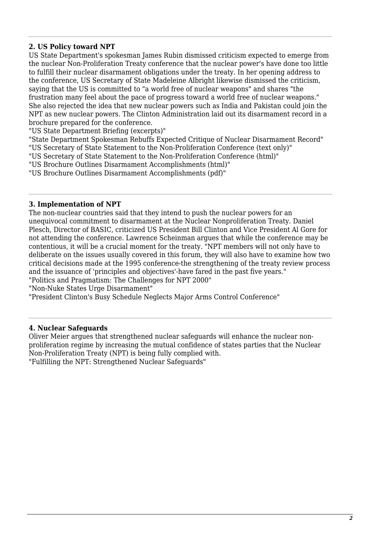### **2. US Policy toward NPT**

US State Department's spokesman James Rubin dismissed criticism expected to emerge from the nuclear Non-Proliferation Treaty conference that the nuclear power's have done too little to fulfill their nuclear disarmament obligations under the treaty. In her opening address to the conference, US Secretary of State Madeleine Albright likewise dismissed the criticism, saying that the US is committed to "a world free of nuclear weapons" and shares "the frustration many feel about the pace of progress toward a world free of nuclear weapons." She also rejected the idea that new nuclear powers such as India and Pakistan could join the NPT as new nuclear powers. The Clinton Administration laid out its disarmament record in a brochure prepared for the conference.

"US State Department Briefing (excerpts)"

"State Department Spokesman Rebuffs Expected Critique of Nuclear Disarmament Record" "US Secretary of State Statement to the Non-Proliferation Conference (text only)"

"US Secretary of State Statement to the Non-Proliferation Conference (html)"

"US Brochure Outlines Disarmament Accomplishments (html)"

"US Brochure Outlines Disarmament Accomplishments (pdf)"

#### **3. Implementation of NPT**

The non-nuclear countries said that they intend to push the nuclear powers for an unequivocal commitment to disarmament at the Nuclear Nonproliferation Treaty. Daniel Plesch, Director of BASIC, criticized US President Bill Clinton and Vice President Al Gore for not attending the conference. Lawrence Scheinman argues that while the conference may be contentious, it will be a crucial moment for the treaty. "NPT members will not only have to deliberate on the issues usually covered in this forum, they will also have to examine how two critical decisions made at the 1995 conference-the strengthening of the treaty review process and the issuance of 'principles and objectives'-have fared in the past five years."

"Politics and Pragmatism: The Challenges for NPT 2000"

"Non-Nuke States Urge Disarmament"

"President Clinton's Busy Schedule Neglects Major Arms Control Conference"

#### **4. Nuclear Safeguards**

Oliver Meier argues that strengthened nuclear safeguards will enhance the nuclear nonproliferation regime by increasing the mutual confidence of states parties that the Nuclear Non-Proliferation Treaty (NPT) is being fully complied with.

"Fulfilling the NPT: Strengthened Nuclear Safeguards"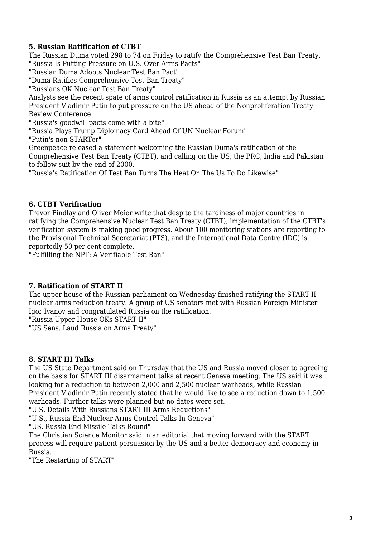#### **5. Russian Ratification of CTBT**

The Russian Duma voted 298 to 74 on Friday to ratify the Comprehensive Test Ban Treaty. "Russia Is Putting Pressure on U.S. Over Arms Pacts"

"Russian Duma Adopts Nuclear Test Ban Pact"

"Duma Ratifies Comprehensive Test Ban Treaty"

"Russians OK Nuclear Test Ban Treaty"

Analysts see the recent spate of arms control ratification in Russia as an attempt by Russian President Vladimir Putin to put pressure on the US ahead of the Nonproliferation Treaty Review Conference.

"Russia's goodwill pacts come with a bite"

"Russia Plays Trump Diplomacy Card Ahead Of UN Nuclear Forum"

"Putin's non-STARTer"

Greenpeace released a statement welcoming the Russian Duma's ratification of the Comprehensive Test Ban Treaty (CTBT), and calling on the US, the PRC, India and Pakistan to follow suit by the end of 2000.

"Russia's Ratification Of Test Ban Turns The Heat On The Us To Do Likewise"

#### **6. CTBT Verification**

Trevor Findlay and Oliver Meier write that despite the tardiness of major countries in ratifying the Comprehensive Nuclear Test Ban Treaty (CTBT), implementation of the CTBT's verification system is making good progress. About 100 monitoring stations are reporting to the Provisional Technical Secretariat (PTS), and the International Data Centre (IDC) is reportedly 50 per cent complete.

"Fulfilling the NPT: A Verifiable Test Ban"

#### **7. Ratification of START II**

The upper house of the Russian parliament on Wednesday finished ratifying the START II nuclear arms reduction treaty. A group of US senators met with Russian Foreign Minister Igor Ivanov and congratulated Russia on the ratification.

"Russia Upper House OKs START II"

"US Sens. Laud Russia on Arms Treaty"

### **8. START III Talks**

The US State Department said on Thursday that the US and Russia moved closer to agreeing on the basis for START III disarmament talks at recent Geneva meeting. The US said it was looking for a reduction to between 2,000 and 2,500 nuclear warheads, while Russian President Vladimir Putin recently stated that he would like to see a reduction down to 1,500 warheads. Further talks were planned but no dates were set.

"U.S. Details With Russians START III Arms Reductions"

"U.S., Russia End Nuclear Arms Control Talks In Geneva"

"US, Russia End Missile Talks Round"

The Christian Science Monitor said in an editorial that moving forward with the START process will require patient persuasion by the US and a better democracy and economy in Russia.

"The Restarting of START"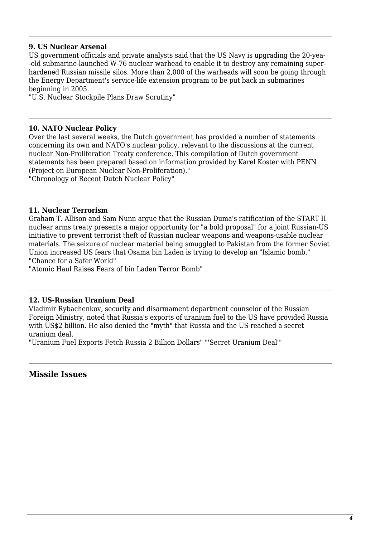#### **9. US Nuclear Arsenal**

US government officials and private analysts said that the US Navy is upgrading the 20-yea- -old submarine-launched W-76 nuclear warhead to enable it to destroy any remaining superhardened Russian missile silos. More than 2,000 of the warheads will soon be going through the Energy Department's service-life extension program to be put back in submarines beginning in 2005.

"U.S. Nuclear Stockpile Plans Draw Scrutiny"

#### **10. NATO Nuclear Policy**

Over the last several weeks, the Dutch government has provided a number of statements concerning its own and NATO's nuclear policy, relevant to the discussions at the current nuclear Non-Proliferation Treaty conference. This compilation of Dutch government statements has been prepared based on information provided by Karel Koster with PENN (Project on European Nuclear Non-Proliferation)."

"Chronology of Recent Dutch Nuclear Policy"

#### **11. Nuclear Terrorism**

Graham T. Allison and Sam Nunn argue that the Russian Duma's ratification of the START II nuclear arms treaty presents a major opportunity for "a bold proposal" for a joint Russian-US initiative to prevent terrorist theft of Russian nuclear weapons and weapons-usable nuclear materials. The seizure of nuclear material being smuggled to Pakistan from the former Soviet Union increased US fears that Osama bin Laden is trying to develop an "Islamic bomb." "Chance for a Safer World"

"Atomic Haul Raises Fears of bin Laden Terror Bomb"

#### **12. US-Russian Uranium Deal**

Vladimir Rybachenkov, security and disarmament department counselor of the Russian Foreign Ministry, noted that Russia's exports of uranium fuel to the US have provided Russia with US\$2 billion. He also denied the "myth" that Russia and the US reached a secret uranium deal.

"Uranium Fuel Exports Fetch Russia 2 Billion Dollars" "'Secret Uranium Deal'"

### **Missile Issues**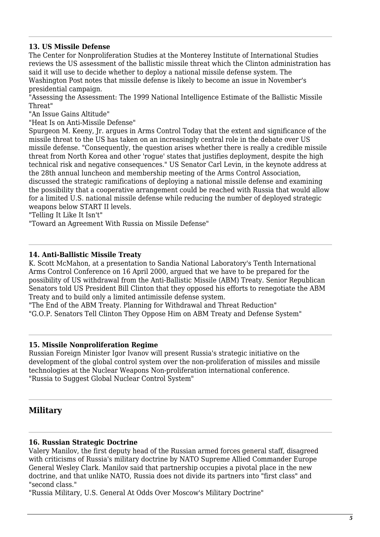#### **13. US Missile Defense**

The Center for Nonproliferation Studies at the Monterey Institute of International Studies reviews the US assessment of the ballistic missile threat which the Clinton administration has said it will use to decide whether to deploy a national missile defense system. The Washington Post notes that missile defense is likely to become an issue in November's presidential campaign.

"Assessing the Assessment: The 1999 National Intelligence Estimate of the Ballistic Missile Threat"

"An Issue Gains Altitude"

"Heat Is on Anti-Missile Defense"

Spurgeon M. Keeny, Jr. argues in Arms Control Today that the extent and significance of the missile threat to the US has taken on an increasingly central role in the debate over US missile defense. "Consequently, the question arises whether there is really a credible missile threat from North Korea and other 'rogue' states that justifies deployment, despite the high technical risk and negative consequences." US Senator Carl Levin, in the keynote address at the 28th annual luncheon and membership meeting of the Arms Control Association, discussed the strategic ramifications of deploying a national missile defense and examining the possibility that a cooperative arrangement could be reached with Russia that would allow for a limited U.S. national missile defense while reducing the number of deployed strategic weapons below START II levels.

"Telling It Like It Isn't"

"Toward an Agreement With Russia on Missile Defense"

#### **14. Anti-Ballistic Missile Treaty**

K. Scott McMahon, at a presentation to Sandia National Laboratory's Tenth International Arms Control Conference on 16 April 2000, argued that we have to be prepared for the possibility of US withdrawal from the Anti-Ballistic Missile (ABM) Treaty. Senior Republican Senators told US President Bill Clinton that they opposed his efforts to renegotiate the ABM Treaty and to build only a limited antimissile defense system.

"The End of the ABM Treaty. Planning for Withdrawal and Threat Reduction" "G.O.P. Senators Tell Clinton They Oppose Him on ABM Treaty and Defense System"

#### **15. Missile Nonproliferation Regime**

Russian Foreign Minister Igor Ivanov will present Russia's strategic initiative on the development of the global control system over the non-proliferation of missiles and missile technologies at the Nuclear Weapons Non-proliferation international conference. "Russia to Suggest Global Nuclear Control System"

### **Military**

#### **16. Russian Strategic Doctrine**

Valery Manilov, the first deputy head of the Russian armed forces general staff, disagreed with criticisms of Russia's military doctrine by NATO Supreme Allied Commander Europe General Wesley Clark. Manilov said that partnership occupies a pivotal place in the new doctrine, and that unlike NATO, Russia does not divide its partners into "first class" and "second class."

"Russia Military, U.S. General At Odds Over Moscow's Military Doctrine"